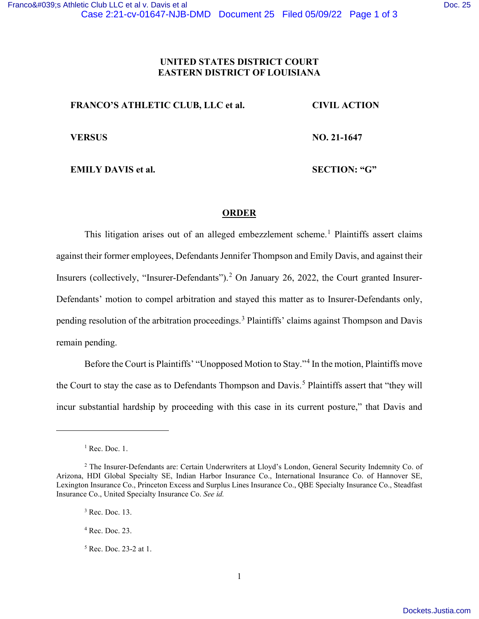## **UNITED STATES DISTRICT COURT EASTERN DISTRICT OF LOUISIANA**

| <b>FRANCO'S ATHLETIC CLUB, LLC et al.</b> | <b>CIVIL ACTION</b> |
|-------------------------------------------|---------------------|
| <b>VERSUS</b>                             | NO. 21-1647         |
| <b>EMILY DAVIS et al.</b>                 | <b>SECTION: "G"</b> |

## **ORDER**

This litigation arises out of an alleged embezzlement scheme.<sup>1</sup> Plaintiffs assert claims against their former employees, Defendants Jennifer Thompson and Emily Davis, and against their Insurers (collectively, "Insurer-Defendants").<sup>2</sup> On January 26, 2022, the Court granted Insurer-Defendants' motion to compel arbitration and stayed this matter as to Insurer-Defendants only, pending resolution of the arbitration proceedings.<sup>3</sup> Plaintiffs' claims against Thompson and Davis remain pending.

Before the Court is Plaintiffs' "Unopposed Motion to Stay."<sup>4</sup> In the motion, Plaintiffs move the Court to stay the case as to Defendants Thompson and Davis.<sup>5</sup> Plaintiffs assert that "they will incur substantial hardship by proceeding with this case in its current posture," that Davis and

<sup>5</sup> Rec. Doc. 23-2 at 1.

 $<sup>1</sup>$  Rec. Doc. 1.</sup>

<sup>2</sup> The Insurer-Defendants are: Certain Underwriters at Lloyd's London, General Security Indemnity Co. of Arizona, HDI Global Specialty SE, Indian Harbor Insurance Co., International Insurance Co. of Hannover SE, Lexington Insurance Co., Princeton Excess and Surplus Lines Insurance Co., QBE Specialty Insurance Co., Steadfast Insurance Co., United Specialty Insurance Co. *See id.*

<sup>3</sup> Rec. Doc. 13.

 $<sup>4</sup>$  Rec. Doc. 23.</sup>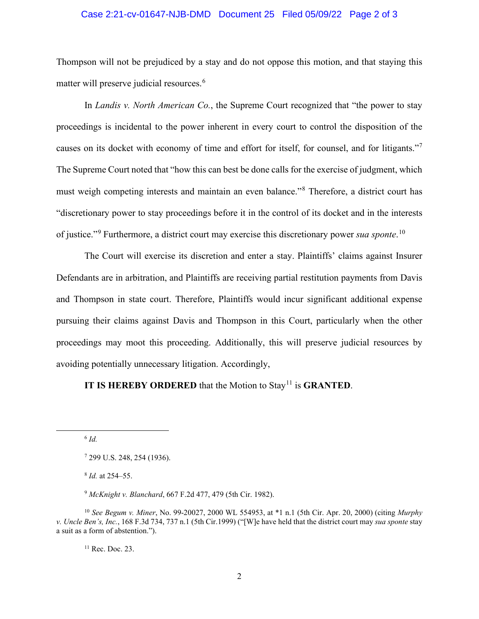## Case 2:21-cv-01647-NJB-DMD Document 25 Filed 05/09/22 Page 2 of 3

Thompson will not be prejudiced by a stay and do not oppose this motion, and that staying this matter will preserve judicial resources.<sup>6</sup>

In *Landis v. North American Co.*, the Supreme Court recognized that "the power to stay proceedings is incidental to the power inherent in every court to control the disposition of the causes on its docket with economy of time and effort for itself, for counsel, and for litigants."7 The Supreme Court noted that "how this can best be done calls for the exercise of judgment, which must weigh competing interests and maintain an even balance."<sup>8</sup> Therefore, a district court has "discretionary power to stay proceedings before it in the control of its docket and in the interests of justice."<sup>9</sup> Furthermore, a district court may exercise this discretionary power *sua sponte*. 10

The Court will exercise its discretion and enter a stay. Plaintiffs' claims against Insurer Defendants are in arbitration, and Plaintiffs are receiving partial restitution payments from Davis and Thompson in state court. Therefore, Plaintiffs would incur significant additional expense pursuing their claims against Davis and Thompson in this Court, particularly when the other proceedings may moot this proceeding. Additionally, this will preserve judicial resources by avoiding potentially unnecessary litigation. Accordingly,

## **IT IS HEREBY ORDERED** that the Motion to Stay<sup>11</sup> is **GRANTED**.

<sup>11</sup> Rec. Doc. 23.

<sup>6</sup> *Id.*

<sup>7</sup> 299 U.S. 248, 254 (1936).

<sup>8</sup> *Id.* at 254–55.

<sup>9</sup> *McKnight v. Blanchard*, 667 F.2d 477, 479 (5th Cir. 1982).

<sup>10</sup> *See Begum v. Miner*, No. 99-20027, 2000 WL 554953, at \*1 n.1 (5th Cir. Apr. 20, 2000) (citing *Murphy v. Uncle Ben's, Inc.*, 168 F.3d 734, 737 n.1 (5th Cir.1999) ("[W]e have held that the district court may *sua sponte* stay a suit as a form of abstention.").